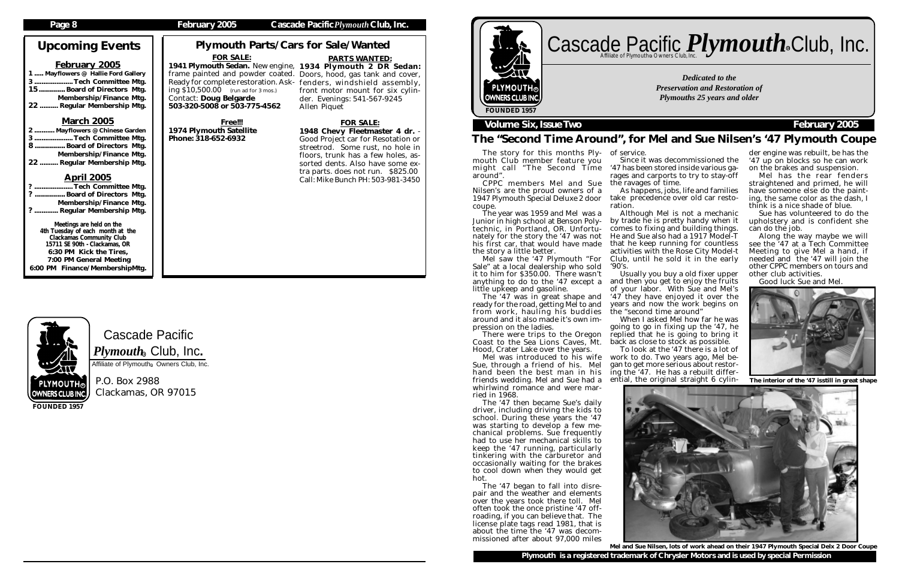Cascade Pacific  $\boldsymbol{P} \boldsymbol{l}$ y $\boldsymbol{m} \boldsymbol{o}$ ut $\boldsymbol{h}_\circledast$  Club, Inc. Affiliate of Plymouth<sup>®</sup> Owners Club, Inc.

1 ..... Mayflowers @ Hallie Ford Gallery .... Tech Committee Mtg. 15............. Board of Directors Mtg. Membership/Finance Mtg.<br>.22 .......... Regular Membership Mtg. . Regular Membership Mtg.

> P.O. Box 2988 Clackamas, OR 97015

## Upcoming Events

#### February 2005

#### March 2005

| 2  Mayflowers @ Chinese Garden |  |
|--------------------------------|--|
| 3Tech Committee Mtg.           |  |
| 8 Board of Directors Mtg.      |  |
| Membership/Finance Mtg.        |  |
| 22  Regular Membership Mtg.    |  |

#### April 2005

## Cascade Pacific *Plymouth* **Club**, Inc. R

| ?  Tech Committee Mtg.     |  |
|----------------------------|--|
| ?  Board of Directors Mtg. |  |
| Membership/Finance Mtg.    |  |
| ?  Regular Membership Mtg. |  |

Meetings are held on the 4th Tuesday of each month at the Clackamas Community Club 15711 SE 90th - Clackamas, OR 6:30 PM Kick the Tires, 7:00 PM General Meeting 6:00 PM Finance/MembershipMtg.



**FOUNDED 1957**

#### **Page 8 February 2005 Cascade Pacific***Plymouth***Club, Inc.**

*Dedicated to the Preservation and Restoration of Plymouths 25 years and older*



### **Volume Six, Issue Two February 2005**

## Plymouth Parts/Cars for Sale/Wanted

## The "Second Time Around", for Mel and Sue Nilsen's '47 Plymouth Coupe

The story for this months Plymouth Club member feature you might call "The Second Time around".

CPPC members Mel and Sue Nilsen's are the proud owners of a 1947 Plymouth Special Deluxe 2 door coupe.

The year was 1959 and Mel was a Junior in high school at Benson Polytechnic, in Portland, OR. Unfortunately for the story the '47 was not his first car, that would have made the story a little better.

Mel saw the '47 Plymouth "For Sale" at a local dealership who sold it to him for \$350.00. There wasn't anything to do to the '47 except a little upkeep and gasoline.

The '47 was in great shape and ready for the road, getting Mel to and from work, hauling his buddies around and it also made it's own impression on the ladies.

There were trips to the Oregon Coast to the Sea Lions Caves, Mt. Hood, Crater Lake over the years.

Mel was introduced to his wife Sue, through a friend of his. Mel hand been the best man in his friends wedding. Mel and Sue had a whirlwind romance and were married in 1968.

1941 Plymouth Sedan. New engine, 1934 Plymouth 2 DR Sedan: PARTS WANTED: front motor mount for six cylinder. Evenings: 541-567-9245 Allen Piquet

> The '47 then became Sue's daily driver, including driving the kids to school. During these years the '47 was starting to develop a few mechanical problems. Sue frequently had to use her mechanical skills to keep the '47 running, particularly tinkering with the carburetor and occasionally waiting for the brakes to cool down when they would get hot.

> The '47 began to fall into disrepair and the weather and elements over the years took there toll. Mel often took the once pristine '47 offroading, if you can believe that. The license plate tags read 1981, that is about the time the '47 was decommissioned after about 97,000 miles

**Plymouth is a registered trademark of Chrysler Motors and is used by special Permission** Mel and Sue Nilsen, lots of work ahead on their 1947 Plymouth Special Delx 2 Door Coupe

Since it was decommissioned the '47 has been stored inside various garages and carports to try to stay-off

of service. the ravages of time.

As happens, jobs, life and families take precedence over old car resto-

ration.

Although Mel is not a mechanic by trade he is pretty handy when it comes to fixing and building things. He and Sue also had a 1917 Model-T that he keep running for countless activities with the Rose City Model-t Club, until he sold it in the early '90's.

Usually you buy a old fixer upper and then you get to enjoy the fruits of your labor. With Sue and Mel's '47 they have enjoyed it over the years and now the work begins on the "second time around"

When I asked Mel how far he was going to go in fixing up the '47, he replied that he is going to bring it back as close to stock as possible.

To look at the '47 there is a lot of work to do. Two years ago, Mel began to get more serious about restoring the '47. He has a rebuilt differential, the original straight 6 cylin-



der engine was rebuilt, be has the '47 up on blocks so he can work on the brakes and suspension.

Mel has the rear fenders straightened and primed, he will have someone else do the painting, the same color as the dash, I think is a nice shade of blue.

Sue has volunteered to do the upholstery and is confident she can do the job.

Along the way maybe we will see the '47 at a Tech Committee Meeting to give Mel a hand, if needed and the '47 will join the other CPPC members on tours and other club activities.

Good luck Sue and Mel.



The interior of the '47 isstill in great shape

#### FOR SALE:

frame painted and powder coated. Doors, hood, gas tank and cover, Ready for complete restoration. Ask-fenders, windshield assembly, ing  $$10,500.00$  (run ad for 3 mos.) Contact: Doug Belgarde 503-320-5008 or 503-775-4562

Free!!! 1974 Plymouth Satellite Phone: 318-652-6932

#### FOR SALE:

1948 Chevy Fleetmaster 4 dr. - Good Project car for Resotation or streetrod. Some rust, no hole in floors, trunk has a few holes, assorted dents. Also have some extra parts. does not run. \$825.00 Call: Mike Bunch PH: 503-981-3450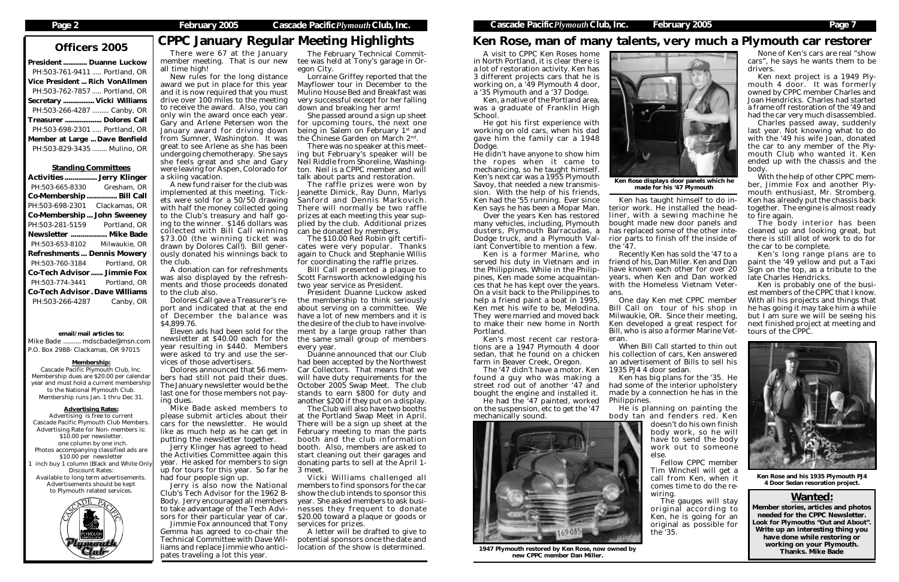President ............. Duanne Luckow PH:503-761-9411 ..... Portland, OR Vice President ... Rich VonAllmen PH:503-762-7857 ..... Portland, OR Secretary ................. Vicki Williams PH:503-266-4287 ......... Canby, OR Treasurer .................... Dolores Call PH:503-698-2301 ..... Portland, OR Member at Large ... Dave Benfield PH:503-829-3435 ........ Mulino, OR

#### Standing Committees

| <b>Activities  Jerry Klinger</b>      |               |  |  |
|---------------------------------------|---------------|--|--|
| PH:503-665-8330                       | Gresham, OR   |  |  |
| <b>Co-Membership</b>                  | Bill Call     |  |  |
| PH:503-698-2301                       | Clackamas, OR |  |  |
| <b>Co-Membership John Sweeney</b>     |               |  |  |
| PH:503-281-5159 Portland, OR          |               |  |  |
| Newsletter  Mike Bade                 |               |  |  |
| PH:503-653-8102 Milwaukie, OR         |               |  |  |
| <b>Refreshments Dennis Mowery</b>     |               |  |  |
| PH:503-760-3184                       | Portland, OR  |  |  |
| <b>Co-Tech Advisor Jimmie Fox</b>     |               |  |  |
| PH:503-774-3441                       | Portland, OR  |  |  |
| <b>Co-Tech Advisor. Dave Williams</b> |               |  |  |
| PH:503-266-4287                       | Canby, OR     |  |  |

#### email/mail articles to:

Mike Bade .......... mdscbade@msn.com P.O. Box 2988- Clackamas, OR 97015

#### Membership:

New rules for the long distance award we put in place for this year and it is now required that you must drive over 100 miles to the meeting to receive the award. Also, you can only win the award once each year. Gary and Arlene Petersen won the January award for driving down from Sumner, Washington. It was great to see Arlene as she has been undergoing chemotherapy. She says she feels great and she and Gary were leaving for Aspen, Colorado for a skiing vacation.

Cascade Pacific Plymouth Club, Inc. Membership dues are \$20.00 per calendar year and must hold a current membership to the National Plymouth Club. Membership runs Jan. 1 thru Dec 31.

#### Advertising Rates:

Advertising is free to current Cascade Pacific Plymouth Club Members. Advertising Rate for Non- members is: \$10.00 per newsletter. one column by one inch. Photos accompanying classified ads are \$10.00 per newsletter inch buy 1 column (Black and White Only Discount Rates: Available to long term advertisements. Advertisements should be kept to Plymouth related services.



# Officers 2005 CPPC January Regular Meeting Highlights

There were 67 at the January member meeting. That is our new all time high!

A new fund raiser for the club was implemented at this meeting. Tickets were sold for a 50/50 drawing with half the money collected going to the Club's treasury and half going to the winner. \$146 dollars was collected with Bill Call winning \$73.00 (the winning ticket was drawn by Dolores Call!). Bill generously donated his winnings back to the club.

A donation can for refreshments was also displayed by the refreshments and those proceeds donated to the club also.

Dolores Call gave a Treasurer's report and indicated that at the end of December the balance was \$4,899.76.

Eleven ads had been sold for the newsletter at \$40.00 each for the year resulting in \$440. Members were asked to try and use the services of those advertisers.

Dolores announced that 56 members had still not paid their dues. The January newsletter would be the last one for those members not paying dues.

Mike Bade asked members to please submit articles about their cars for the newsletter. He would like as much help as he can get in putting the newsletter together.

Jerry Klinger has agreed to head the Activities Committee again this year. He asked for members to sign up for tours for this year. So far he had four people sign up.

Over the years Ken has restored many vehicles, including, Plymouth dusters, Plymouth Barracudas, a Dodge truck, and a Plymouth Valiant Convertible to mention a few.

Jerry is also now the National Club's Tech Advisor for the 1962 B-Body. Jerry encouraged all members to take advantage of the Tech Advisors for their particular year of car.

Jimmie Fox announced that Tony Gemma has agreed to co-chair the Technical Committee with Dave Williams and replace Jimmie who anticipates traveling a lot this year.

## Ken Rose, man of many talents, very much a Plymouth car restorer

#### Wanted:

Member stories, articles and photos needed for the CPPC Newsletter. Look for Plymouths "Out and About". Write up an interesting thing you have done while restoring or working on your Plymouth. Thanks. Mike Bade

The February Technical Committee was held at Tony's garage in Oregon City.

Lorraine Griffey reported that the Mayflower tour in December to the Mulino House Bed and Breakfast was very successful except for her falling down and breaking her arm!

She passed around a sign up sheet for upcoming tours, the next one being in Salem on February 1<sup>st</sup> and the Chinese Garden on March 2nd.

There was no speaker at this meeting but February's speaker will be Neil Riddle from Shoreline, Washington. Neil is a CPPC member and will talk about parts and restoration.

The raffle prizes were won by Jeanette Dimick, Ray Dunn, Marlys Sanford and Dennis Markovich. There will normally be two raffle prizes at each meeting this year supplied by the club. Additional prizes can be donated by members.

The \$10.00 Red Robin gift certificates were very popular. Thanks again to Chuck and Stephanie Willis for coordinating the raffle prizes.

Bill Call presented a plaque to Scott Farnsworth acknowledging his two year service as President.

President Duanne Luckow asked the membership to think seriously about serving on a committee. We have a lot of new members and it is the desire of the club to have involvement by a large group rather than the same small group of members every year.

Duanne announced that our Club had been accepted by the Northwest Car Collectors. That means that we will have duty requirements for the October 2005 Swap Meet. The club stands to earn \$800 for duty and another \$200 if they put on a display.

The Club will also have two booths at the Portland Swap Meet in April. There will be a sign up sheet at the February meeting to man the parts booth and the club information booth. Also, members are asked to start cleaning out their garages and donating parts to sell at the April 1- 3 meet.

Vicki Williams challenged all members to find sponsors for the car show the club intends to sponsor this year. She asked members to ask businesses they frequent to donate \$20.00 toward a plaque or goods or services for prizes.

A letter will be drafted to give to potential sponsors once the date and location of the show is determined.

A visit to CPPC Ken Roses home in North Portland, it is clear there is a lot of restoration activity. Ken has 3 different projects cars that he is working on, a '49 Plymouth 4 door, a '35 Plymouth and a '37 Dodge.

Ken, a native of the Portland area, was a graduate of Franklin High School.

He got his first experience with working on old cars, when his dad gave him the family car a 1948 Dodge.

He didn't have anyone to show him the ropes when it came to mechanicing, so he taught himself. Ken's next car was a 1955 Plymouth Savoy, that needed a new transmission. With the help of his friends, Ken had the '55 running. Ever since Ken says he has been a Mopar Man.

Ken is a former Marine, who served his duty in Vietnam and in the Philippines. While in the Philippines, Ken made some acquaintances that he has kept over the years. On a visit back to the Philippines to help a friend paint a boat in 1995, Ken met his wife to be, Melodina. They were married and moved back to make their new home in North Portland.

Ken's most recent car restorations are a 1947 Plymouth 4 door sedan, that he found on a chicken farm in Beaver Creek, Oregon.

The '47 didn't have a motor. Ken found a guy who was making a street rod out of another '47 and bought the engine and installed it.

He had the '47 painted, worked on the suspension, etc to get the '47 mechanically sound.



rior parts to finish off the inside of

the '47. Recently Ken has sold the '47 to a friend of his, Dan Miller. Ken and Dan have known each other for over 20 years, when Ken and Dan worked with the Homeless Vietnam Veter-

ans. One day Ken met CPPC member Bill Call on tour of his shop in Milwaukie, OR. Since their meeting, Ken developed a great respect for Bill, who is also a former Marine Vet-

eran. When Bill Call started to thin out

his collection of cars, Ken answered an advertisement of Bills to sell his 1935 PJ4 4 door sedan. Ken has big plans for the '35. He



had some of the interior upholstery made by a connection he has in the

Philippines.

None of Ken's cars are real "show cars", he says he wants them to be drivers.

Ken next project is a 1949 Plymouth 4 door. It was formerly owned by CPPC member Charles and Joan Hendricks. Charles had started a frame off restoration of the '49 and had the car very much disassembled.

Charles passed away, suddenly last year. Not knowing what to do with the '49 his wife Joan, donated the car to any member of the Plymouth Club who wanted it. Ken ended up with the chassis and the body.

Ken has taught himself to do interior work. He installed the headliner, with a sewing machine he bought made new door panels and has replaced some of the other inte-Ken Rose displays door panels which he made for his '47 Plymouth

With the help of other CPPC member, Jimmie Fox and another Plymouth enthusiast, Mr. Stromberg. Ken has already put the chassis back together. The engine is almost ready to fire again.

He is planning on painting the body tan and fenders red. Ken doesn't do his own finish body work, so he will have to send the body work out to someone else.

The body interior has been cleaned up and looking great, but there is still allot of work to do for the car to be complete.

Ken's long range plans are to paint the '49 yellow and put a Taxi Sign on the top, as a tribute to the late Charles Hendricks.

Ken is probably one of the busiest members of the CPPC that I know. With all his projects and things that he has going it may take him a while but I am sure we will be seeing his next finished project at meeting and tours of the CPPC.

Fellow CPPC member Tim Winchell will get a call from Ken, when it comes time to do the rewiring.

The gauges will stay original according to Ken, he is going for an original as possible for the '35.

1947 Plymouth restored by Ken Rose, now owned by new CPPC member Dan Miller.



Ken Rose and his 1935 Plymouth PJ4 4 Door Sedan resoration project.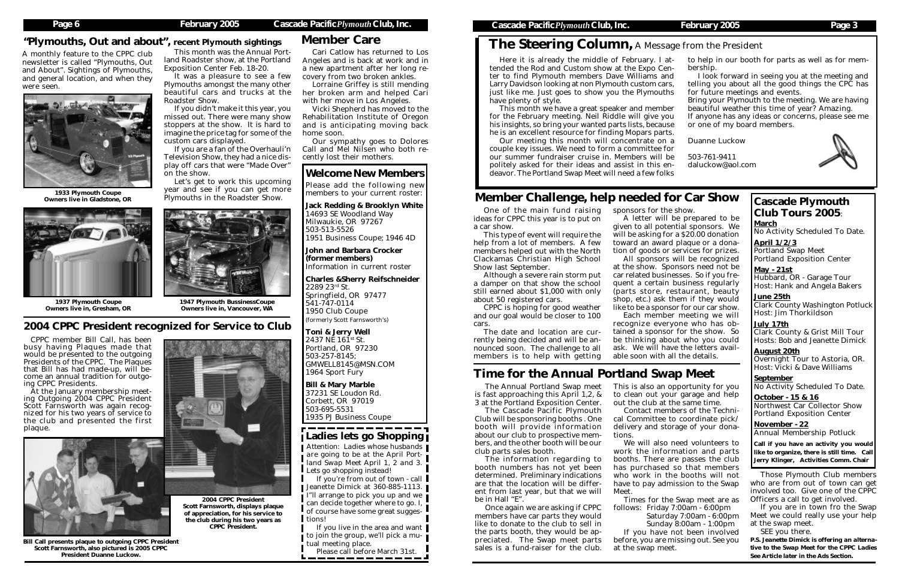## The Steering Column*,* A Message from the President

## Member Care

One of the main fund raising ideas for CPPC this year is to put on a car show.

This type of event will require the help from a lot of members. A few members helped out with the North Clackamas Christian High School Show last September.

Although a severe rain storm put a damper on that show the school still earned about \$1,000 with only about 50 registered cars.

Here it is already the middle of February. I attended the Rod and Custom show at the Expo Center to find Plymouth members Dave Williams and Larry Davidson looking at non Plymouth custom cars, just like me. Just goes to show you the Plymouths have plenty of style. This month we have a great speaker and member for the February meeting. Neil Riddle will give you his insights, so bring your wanted parts lists, because he is an excellent resource for finding Mopars parts. Our meeting this month will concentrate on a couple key issues. We need to form a committee for our summer fundraiser cruise in. Members will be to help in our booth for parts as well as for membership. I look forward in seeing you at the meeting and telling you about all the good things the CPC has for future meetings and events. Bring your Plymouth to the meeting. We are having beautiful weather this time of year? Amazing. If anyone has any ideas or concerns, please see me or one of my board members. Duanne Luckow 503-761-9411

CPPC is hoping for good weather and our goal would be closer to 100 cars.

The date and location are currently being decided and will be announced soon. The challenge to all members is to help with getting

 $\frac{1}{2}$ . July 17th Clark County & Grist Mill Tour Hosts: Bob and Jeanette Dimick ....

## Member Challenge, help needed for Car Show

sponsors for the show.

November - 22 Annual Membership Potluck

politely asked for their ideas and assist in this endeavor. The Portland Swap Meet will need a few folks daluckow@aol.com

> A letter will be prepared to be given to all potential sponsors. We will be asking for a \$20.00 donation toward an award plaque or a donation of goods or services for prizes. All sponsors will be recognized at the show. Sponsors need not be car related businesses. So if you frequent a certain business regularly (parts store, restaurant, beauty shop, etc.) ask them if they would like to be a sponsor for our car show. Each member meeting we will recognize everyone who has obtained a sponsor for the show. So be thinking about who you could ask. We will have the letters available soon with all the details.

## Cascade Plymouth Club Tours 2005:

March No Activity Scheduled To Date. ....

April 1/2/3 Portland Swap Meet Portland Exposition Center ....

May - 21st Hubbard, OR - Garage Tour Host: Hank and Angela Bakers ....

June 25th Clark County Washington Potluck Host: Jim Thorkildson

August 20th Overnight Tour to Astoria, OR. Host: Vicki & Dave Williams ....

**September** No Activity Scheduled To Date.  $\mathbf{r}$ 

October - 15 & 16 Northwest Car Collector Show Portland Exposition Center ....

1933 Plymouth Coupe The Peart and see if you can get ind<br>The Roadster Show. 1933 Plymouths in the Roadster Show. Owners live in Gladstone, OR



Call if you have an activity you would like to organize, there is still time. Call Jerry Klinger, Activities Comm. Chair

The Annual Portland Swap meet is fast approaching this April 1,2, & 3 at the Portland Exposition Center.

The Cascade Pacific Plymouth Club will be sponsoring booths . One booth will provide information about our club to prospective members, and the other booth will be our club parts sales booth.

The information regarding to booth numbers has not yet been determined. Preliminary indications are that the location will be different from last year, but that we will be in Hall "E".

Once again we are asking if CPPC members have car parts they would like to donate to the club to sell in the parts booth, they would be appreciated. The Swap meet parts sales is a fund-raiser for the club.

If you live in the area and want to join the group, we'll pick a mutual meeting place.

This is also an opportunity for you to clean out your garage and help out the club at the same time.

Please call before March 31st.

#### <del>, . . . . . . . . .</del> Ladies lets go Shopping

Contact members of the Technical Committee to coordinate pick/ delivery and storage of your donations.

We will also need volunteers to work the information and parts booths. There are passes the club has purchased so that members who work in the booths will not have to pay admission to the Swap

Meet.

Times for the Swap meet are as Saturday 7:00am - 6:00pm Sunday 8:00am - 1:00pm If you have not been involved

follows: Friday 7:00am - 6:00pm before, you are missing out. See you at the swap meet.

## Time for the Annual Portland Swap Meet

Those Plymouth Club members who are from out of town can get involved too. Give one of the CPPC Officers a call to get involved.

If you are in town fro the Swap Meet we could really use your help at the swap meet.

SEE you there.

*P.S. Jeanette Dimick is offering an alternative to the Swap Meet for the CPPC Ladies See Article later in the Ads Section.*



### Welcome New Members

Please add the following new members to your current roster:

Jack Redding & Brooklyn White 14693 SE Woodland Way Milwaukie, OR 97267 503-513-5526 1951 Business Coupe; 1946 4D

John and Barbara Crocker (former members) Information in current roster

Charles &Sherry Reifschneider 2289 23rd St. Springfield, OR 97477 541-747-0114 1950 Club Coupe (formerly Scott Farnsworth's)

Toni & Jerry Well 2437 NE  $161^{st}$  St. Portland, OR 97230 503-257-8145; GMWELL8145@MSN.COM 1964 Sport Fury

Bill & Mary Marble 37231 SE Loudon Rd. Corbett, OR 97019 503-695-5531 1935 PJ Business Coupe

A monthly feature to the CPPC club newsletter is called "Plymouths, Out and About". Sightings of Plymouths, and general location, and when they were seen.



### "Plymouths, Out and about", recent Plymouth sightings

This month was the Annual Portland Roadster show, at the Portland

Exposition Center Feb. 18-20.

It was a pleasure to see a few Plymouths amongst the many other beautiful cars and trucks at the

Roadster Show.

If you didn't make it this year, you missed out. There were many show stoppers at the show. It is hard to imagine the price tag for some of the

custom cars displayed.

If you are a fan of the Overhauli'n Television Show, they had a nice display off cars that were "Made Over"

on the show.

Let's get to work this upcoming year and see if you can get more

1947 Plymouth BussinessCoupe Owners live in, Vancouver, WA

1937 Plymouth Coupe Owners live in, Gresham, OR



Cari Catlow has returned to Los Angeles and is back at work and in a new apartment after her long recovery from two broken ankles.

Lorraine Griffey is still mending her broken arm and helped Cari with her move in Los Angeles.

Vicki Shepherd has moved to the Rehabilitation Institute of Oregon and is anticipating moving back home soon.

Our sympathy goes to Dolores Call and Mel Nilsen who both recently lost their mothers.

### 2004 CPPC President recognized for Service to Club

CPPC member Bill Call, has been busy having Plaques made that would be presented to the outgoing Presidents of the CPPC. The Plaques that Bill has had made-up, will become an annual tradition for outgoing CPPC Presidents.

At the January membership meeting Outgoing 2004 CPPC President Scott Farnsworth was again recognized for his two years of service to the club and presented the first plaque.

> 2004 CPPC President Scott Farnsworth, displays plaque of appreciation, for his service to the club during his two years as CPPC President.



Bill Call presents plaque to outgoing CPPC President Scott Farnsworth, also pictured is 2005 CPPC President Duanne Luckow.



*Attention: Ladies whose husbands are going to be at the April Portland Swap Meet April 1, 2 and 3. Lets go shopping instead!*

If you're from out of town - call Jeanette Dimick at 360-885-1113. I"ll arrange to pick you up and we can decide together where to go. I, of course have some great suggestions!